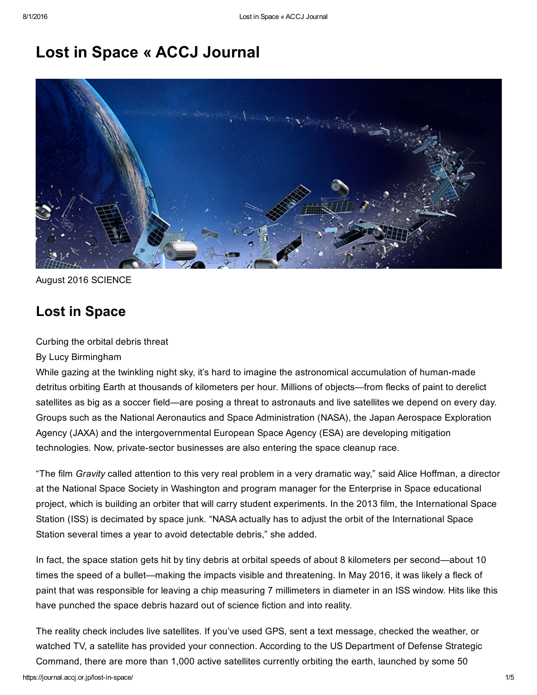# Lost in Space « ACCJ Journal



## August 2016 SCIENCE

## Lost in Space

Curbing the orbital debris threat

## By Lucy Birmingham

While gazing at the twinkling night sky, it's hard to imagine the astronomical accumulation of human-made detritus orbiting Earth at thousands of kilometers per hour. Millions of objects—from flecks of paint to derelict satellites as big as a soccer field—are posing a threat to astronauts and live satellites we depend on every day. Groups such as the National Aeronautics and Space Administration (NASA), the Japan Aerospace Exploration Agency (JAXA) and the intergovernmental European Space Agency (ESA) are developing mitigation technologies. Now, private-sector businesses are also entering the space cleanup race.

"The film *Gravity* called attention to this very real problem in a very dramatic way," said Alice Hoffman, a director at the National Space Society in Washington and program manager for the Enterprise in Space educational project, which is building an orbiter that will carry student experiments. In the 2013 film, the International Space Station (ISS) is decimated by space junk. "NASA actually has to adjust the orbit of the International Space Station several times a year to avoid detectable debris," she added.

In fact, the space station gets hit by tiny debris at orbital speeds of about 8 kilometers per second—about 10 times the speed of a bullet—making the impacts visible and threatening. In May 2016, it was likely a fleck of paint that was responsible for leaving a chip measuring 7 millimeters in diameter in an ISS window. Hits like this have punched the space debris hazard out of science fiction and into reality.

The reality check includes live satellites. If you've used GPS, sent a text message, checked the weather, or watched TV, a satellite has provided your connection. According to the US Department of Defense Strategic Command, there are more than 1,000 active satellites currently orbiting the earth, launched by some 50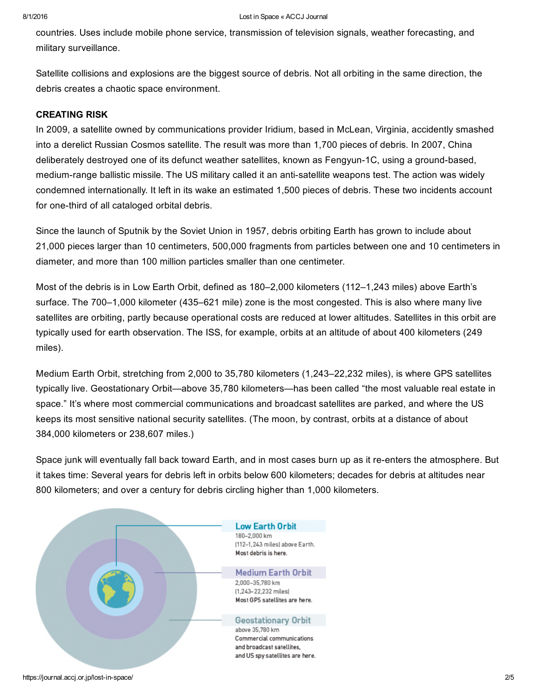countries. Uses include mobile phone service, transmission of television signals, weather forecasting, and military surveillance.

Satellite collisions and explosions are the biggest source of debris. Not all orbiting in the same direction, the debris creates a chaotic space environment.

#### CREATING RISK

In 2009, a satellite owned by communications provider Iridium, based in McLean, Virginia, accidently smashed into a derelict Russian Cosmos satellite. The result was more than 1,700 pieces of debris. In 2007, China deliberately destroyed one of its defunct weather satellites, known as Fengyun-1C, using a ground-based, medium-range ballistic missile. The US military called it an anti-satellite weapons test. The action was widely condemned internationally. It left in its wake an estimated 1,500 pieces of debris. These two incidents account for one-third of all cataloged orbital debris.

Since the launch of Sputnik by the Soviet Union in 1957, debris orbiting Earth has grown to include about 21,000 pieces larger than 10 centimeters, 500,000 fragments from particles between one and 10 centimeters in diameter, and more than 100 million particles smaller than one centimeter.

Most of the debris is in Low Earth Orbit, defined as 180–2,000 kilometers (112–1,243 miles) above Earth's surface. The 700–1,000 kilometer (435–621 mile) zone is the most congested. This is also where many live satellites are orbiting, partly because operational costs are reduced at lower altitudes. Satellites in this orbit are typically used for earth observation. The ISS, for example, orbits at an altitude of about 400 kilometers (249 miles).

Medium Earth Orbit, stretching from 2,000 to 35,780 kilometers (1,243–22,232 miles), is where GPS satellites typically live. Geostationary Orbit—above 35,780 kilometers—has been called "the most valuable real estate in space." It's where most commercial communications and broadcast satellites are parked, and where the US keeps its most sensitive national security satellites. (The moon, by contrast, orbits at a distance of about 384,000 kilometers or 238,607 miles.)

Space junk will eventually fall back toward Earth, and in most cases burn up as it re-enters the atmosphere. But it takes time: Several years for debris left in orbits below 600 kilometers; decades for debris at altitudes near 800 kilometers; and over a century for debris circling higher than 1,000 kilometers.

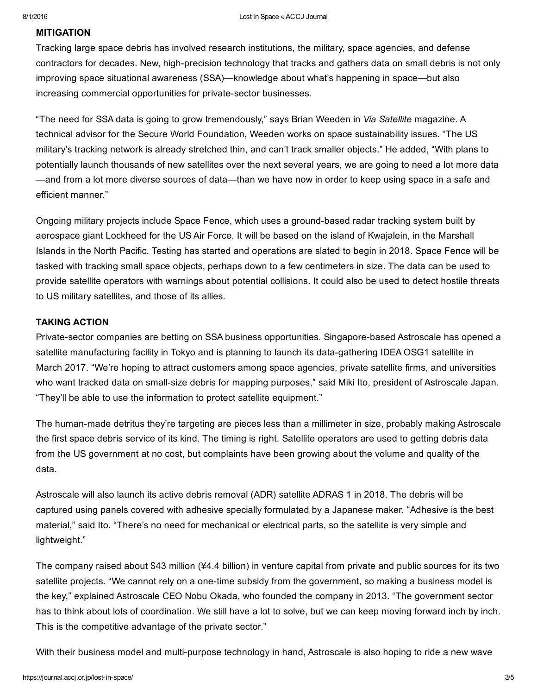#### MITIGATION

Tracking large space debris has involved research institutions, the military, space agencies, and defense contractors for decades. New, high-precision technology that tracks and gathers data on small debris is not only improving space situational awareness (SSA)—knowledge about what's happening in space—but also increasing commercial opportunities for private-sector businesses.

"The need for SSA data is going to grow tremendously," says Brian Weeden in *Via Satellite* magazine. A technical advisor for the Secure World Foundation, Weeden works on space sustainability issues. "The US military's tracking network is already stretched thin, and can't track smaller objects." He added, "With plans to potentially launch thousands of new satellites over the next several years, we are going to need a lot more data —and from a lot more diverse sources of data—than we have now in order to keep using space in a safe and efficient manner."

Ongoing military projects include Space Fence, which uses a ground-based radar tracking system built by aerospace giant Lockheed for the US Air Force. It will be based on the island of Kwajalein, in the Marshall Islands in the North Pacific. Testing has started and operations are slated to begin in 2018. Space Fence will be tasked with tracking small space objects, perhaps down to a few centimeters in size. The data can be used to provide satellite operators with warnings about potential collisions. It could also be used to detect hostile threats to US military satellites, and those of its allies.

#### TAKING ACTION

Private-sector companies are betting on SSA business opportunities. Singapore-based Astroscale has opened a satellite manufacturing facility in Tokyo and is planning to launch its data-gathering IDEA OSG1 satellite in March 2017. "We're hoping to attract customers among space agencies, private satellite firms, and universities who want tracked data on small-size debris for mapping purposes," said Miki Ito, president of Astroscale Japan. "They'll be able to use the information to protect satellite equipment."

The human-made detritus they're targeting are pieces less than a millimeter in size, probably making Astroscale the first space debris service of its kind. The timing is right. Satellite operators are used to getting debris data from the US government at no cost, but complaints have been growing about the volume and quality of the data.

Astroscale will also launch its active debris removal (ADR) satellite ADRAS 1 in 2018. The debris will be captured using panels covered with adhesive specially formulated by a Japanese maker. "Adhesive is the best material," said Ito. "There's no need for mechanical or electrical parts, so the satellite is very simple and lightweight."

The company raised about \$43 million (¥4.4 billion) in venture capital from private and public sources for its two satellite projects. "We cannot rely on a one-time subsidy from the government, so making a business model is the key," explained Astroscale CEO Nobu Okada, who founded the company in 2013. "The government sector has to think about lots of coordination. We still have a lot to solve, but we can keep moving forward inch by inch. This is the competitive advantage of the private sector."

With their business model and multi-purpose technology in hand, Astroscale is also hoping to ride a new wave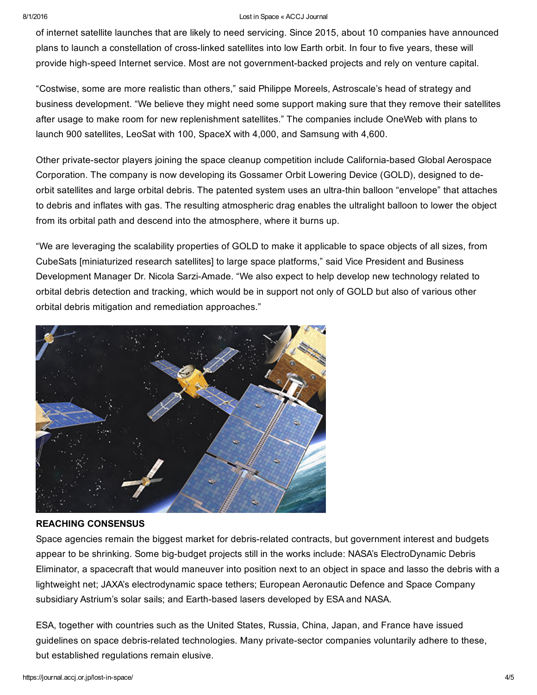#### 8/1/2016 Lost in Space « ACCJ Journal

of internet satellite launches that are likely to need servicing. Since 2015, about 10 companies have announced plans to launch a constellation of cross-linked satellites into low Earth orbit. In four to five years, these will provide high-speed Internet service. Most are not government-backed projects and rely on venture capital.

"Costwise, some are more realistic than others," said Philippe Moreels, Astroscale's head of strategy and business development. "We believe they might need some support making sure that they remove their satellites after usage to make room for new replenishment satellites." The companies include OneWeb with plans to launch 900 satellites, LeoSat with 100, SpaceX with 4,000, and Samsung with 4,600.

Other private-sector players joining the space cleanup competition include California-based Global Aerospace Corporation. The company is now developing its Gossamer Orbit Lowering Device (GOLD), designed to deorbit satellites and large orbital debris. The patented system uses an ultra-thin balloon "envelope" that attaches to debris and inflates with gas. The resulting atmospheric drag enables the ultralight balloon to lower the object from its orbital path and descend into the atmosphere, where it burns up.

"We are leveraging the scalability properties of GOLD to make it applicable to space objects of all sizes, from CubeSats [miniaturized research satellites] to large space platforms," said Vice President and Business Development Manager Dr. Nicola Sarzi-Amade. "We also expect to help develop new technology related to orbital debris detection and tracking, which would be in support not only of GOLD but also of various other orbital debris mitigation and remediation approaches."



## REACHING CONSENSUS

Space agencies remain the biggest market for debris-related contracts, but government interest and budgets appear to be shrinking. Some big-budget projects still in the works include: NASA's ElectroDynamic Debris Eliminator, a spacecraft that would maneuver into position next to an object in space and lasso the debris with a lightweight net; JAXA's electrodynamic space tethers; European Aeronautic Defence and Space Company subsidiary Astrium's solar sails; and Earth-based lasers developed by ESA and NASA.

ESA, together with countries such as the United States, Russia, China, Japan, and France have issued guidelines on space debris-related technologies. Many private-sector companies voluntarily adhere to these, but established regulations remain elusive.